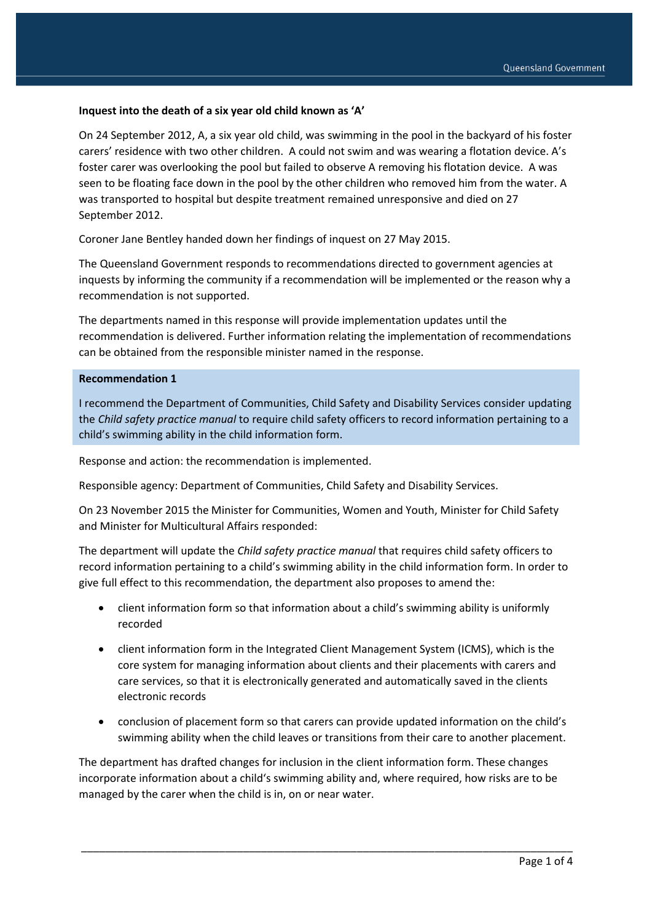#### **Inquest into the death of a six year old child known as 'A'**

On 24 September 2012, A, a six year old child, was swimming in the pool in the backyard of his foster carers' residence with two other children. A could not swim and was wearing a flotation device. A's foster carer was overlooking the pool but failed to observe A removing his flotation device. A was seen to be floating face down in the pool by the other children who removed him from the water. A was transported to hospital but despite treatment remained unresponsive and died on 27 September 2012.

Coroner Jane Bentley handed down her findings of inquest on 27 May 2015.

The Queensland Government responds to recommendations directed to government agencies at inquests by informing the community if a recommendation will be implemented or the reason why a recommendation is not supported.

The departments named in this response will provide implementation updates until the recommendation is delivered. Further information relating the implementation of recommendations can be obtained from the responsible minister named in the response.

#### **Recommendation 1**

I recommend the Department of Communities, Child Safety and Disability Services consider updating the *Child safety practice manual* to require child safety officers to record information pertaining to a child's swimming ability in the child information form.

Response and action: the recommendation is implemented.

Responsible agency: Department of Communities, Child Safety and Disability Services.

On 23 November 2015 the Minister for Communities, Women and Youth, Minister for Child Safety and Minister for Multicultural Affairs responded:

The department will update the *Child safety practice manual* that requires child safety officers to record information pertaining to a child's swimming ability in the child information form. In order to give full effect to this recommendation, the department also proposes to amend the:

- client information form so that information about a child's swimming ability is uniformly recorded
- client information form in the Integrated Client Management System (ICMS), which is the core system for managing information about clients and their placements with carers and care services, so that it is electronically generated and automatically saved in the clients electronic records
- conclusion of placement form so that carers can provide updated information on the child's swimming ability when the child leaves or transitions from their care to another placement.

The department has drafted changes for inclusion in the client information form. These changes incorporate information about a child's swimming ability and, where required, how risks are to be managed by the carer when the child is in, on or near water.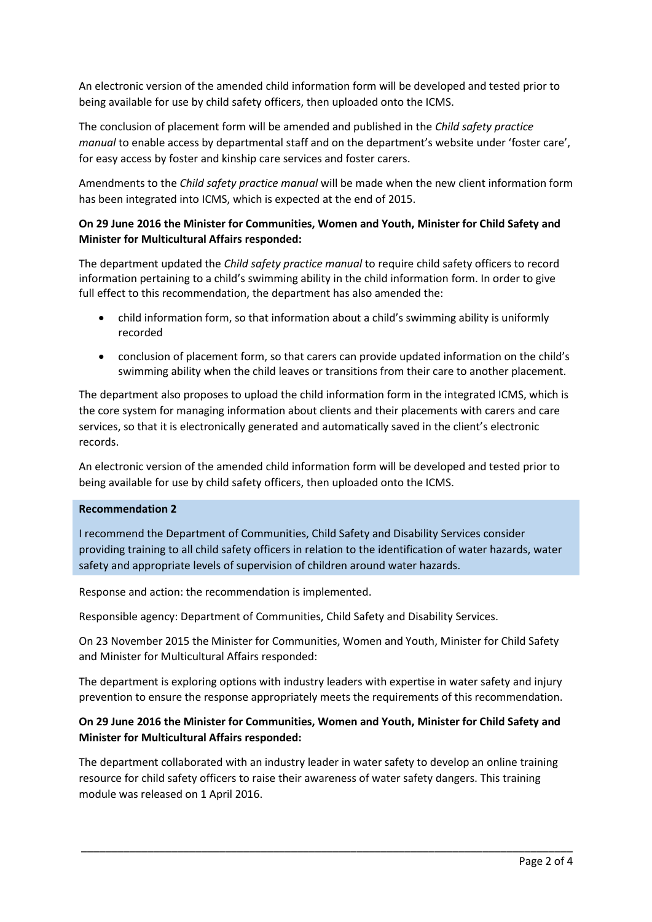An electronic version of the amended child information form will be developed and tested prior to being available for use by child safety officers, then uploaded onto the ICMS.

The conclusion of placement form will be amended and published in the *Child safety practice manual* to enable access by departmental staff and on the department's website under 'foster care', for easy access by foster and kinship care services and foster carers.

Amendments to the *Child safety practice manual* will be made when the new client information form has been integrated into ICMS, which is expected at the end of 2015.

# **On 29 June 2016 the Minister for Communities, Women and Youth, Minister for Child Safety and Minister for Multicultural Affairs responded:**

The department updated the *Child safety practice manual* to require child safety officers to record information pertaining to a child's swimming ability in the child information form. In order to give full effect to this recommendation, the department has also amended the:

- child information form, so that information about a child's swimming ability is uniformly recorded
- conclusion of placement form, so that carers can provide updated information on the child's swimming ability when the child leaves or transitions from their care to another placement.

The department also proposes to upload the child information form in the integrated ICMS, which is the core system for managing information about clients and their placements with carers and care services, so that it is electronically generated and automatically saved in the client's electronic records.

An electronic version of the amended child information form will be developed and tested prior to being available for use by child safety officers, then uploaded onto the ICMS.

## **Recommendation 2**

I recommend the Department of Communities, Child Safety and Disability Services consider providing training to all child safety officers in relation to the identification of water hazards, water safety and appropriate levels of supervision of children around water hazards.

Response and action: the recommendation is implemented.

Responsible agency: Department of Communities, Child Safety and Disability Services.

On 23 November 2015 the Minister for Communities, Women and Youth, Minister for Child Safety and Minister for Multicultural Affairs responded:

The department is exploring options with industry leaders with expertise in water safety and injury prevention to ensure the response appropriately meets the requirements of this recommendation.

# **On 29 June 2016 the Minister for Communities, Women and Youth, Minister for Child Safety and Minister for Multicultural Affairs responded:**

The department collaborated with an industry leader in water safety to develop an online training resource for child safety officers to raise their awareness of water safety dangers. This training module was released on 1 April 2016.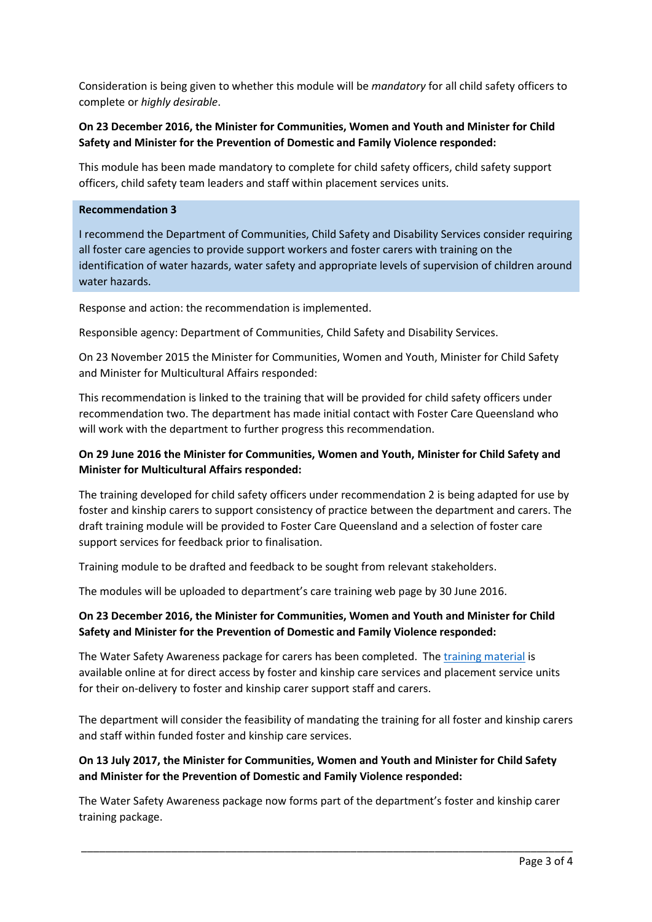Consideration is being given to whether this module will be *mandatory* for all child safety officers to complete or *highly desirable*.

# **On 23 December 2016, the Minister for Communities, Women and Youth and Minister for Child Safety and Minister for the Prevention of Domestic and Family Violence responded:**

This module has been made mandatory to complete for child safety officers, child safety support officers, child safety team leaders and staff within placement services units.

## **Recommendation 3**

I recommend the Department of Communities, Child Safety and Disability Services consider requiring all foster care agencies to provide support workers and foster carers with training on the identification of water hazards, water safety and appropriate levels of supervision of children around water hazards.

Response and action: the recommendation is implemented.

Responsible agency: Department of Communities, Child Safety and Disability Services.

On 23 November 2015 the Minister for Communities, Women and Youth, Minister for Child Safety and Minister for Multicultural Affairs responded:

This recommendation is linked to the training that will be provided for child safety officers under recommendation two. The department has made initial contact with Foster Care Queensland who will work with the department to further progress this recommendation.

# **On 29 June 2016 the Minister for Communities, Women and Youth, Minister for Child Safety and Minister for Multicultural Affairs responded:**

The training developed for child safety officers under recommendation 2 is being adapted for use by foster and kinship carers to support consistency of practice between the department and carers. The draft training module will be provided to Foster Care Queensland and a selection of foster care support services for feedback prior to finalisation.

Training module to be drafted and feedback to be sought from relevant stakeholders.

The modules will be uploaded to department's care training web page by 30 June 2016.

# **On 23 December 2016, the Minister for Communities, Women and Youth and Minister for Child Safety and Minister for the Prevention of Domestic and Family Violence responded:**

The Water Safety Awareness package for carers has been completed. The [training material](https://www.communities.qld.gov.au/childsafety/foster-kinship-care/carer-training/foster-carer-training/water-safety-carers) is available online at for direct access by foster and kinship care services and placement service units for their on-delivery to foster and kinship carer support staff and carers.

The department will consider the feasibility of mandating the training for all foster and kinship carers and staff within funded foster and kinship care services.

## **On 13 July 2017, the Minister for Communities, Women and Youth and Minister for Child Safety and Minister for the Prevention of Domestic and Family Violence responded:**

The Water Safety Awareness package now forms part of the department's foster and kinship carer training package.